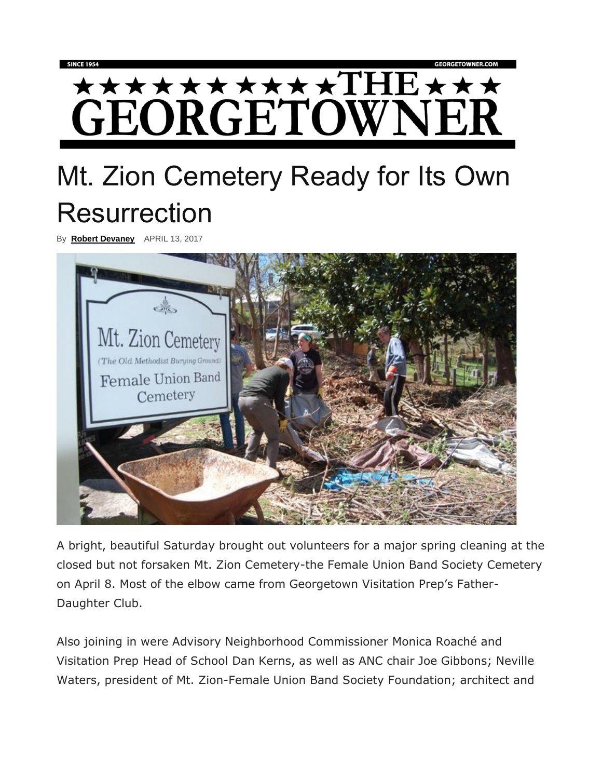## **★★★★★★★★★★THE★★★** GEORGETOWNER

## Mt. Zion Cemetery Ready for Its Own **Resurrection**

By **[Robert Devaney](https://georgetowner.com/articles/author/robert-devaney/)** APRIL 13, 2017



A bright, beautiful Saturday brought out volunteers for a major spring cleaning at the closed but not forsaken Mt. Zion Cemetery-the Female Union Band Society Cemetery on April 8. Most of the elbow came from Georgetown Visitation Prep's Father-Daughter Club.

Also joining in were Advisory Neighborhood Commissioner Monica Roaché and Visitation Prep Head of School Dan Kerns, as well as ANC chair Joe Gibbons; Neville Waters, president of Mt. Zion-Female Union Band Society Foundation; architect and